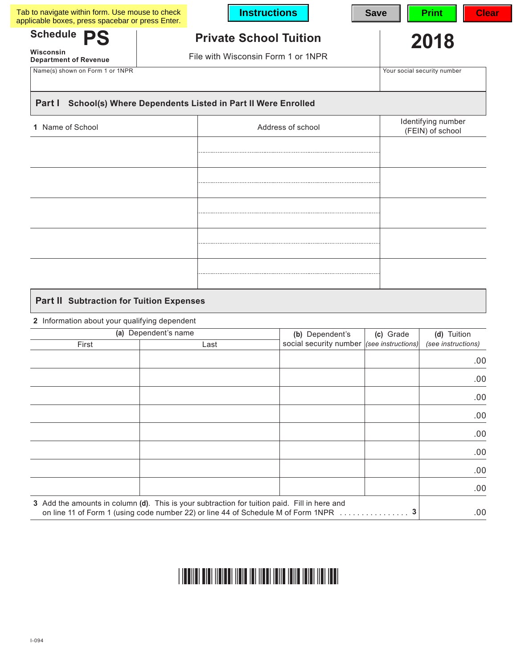| Schedule PS                               |                                                                     |                                        |
|-------------------------------------------|---------------------------------------------------------------------|----------------------------------------|
| Wisconsin<br><b>Department of Revenue</b> | <b>Private School Tuition</b><br>File with Wisconsin Form 1 or 1NPR | 2018                                   |
| Name(s) shown on Form 1 or 1NPR           |                                                                     | Your social security number            |
| Part I                                    | School(s) Where Dependents Listed in Part II Were Enrolled          |                                        |
|                                           |                                                                     |                                        |
| 1 Name of School                          | Address of school                                                   | Identifying number<br>(FEIN) of school |
|                                           |                                                                     |                                        |
|                                           |                                                                     |                                        |
|                                           |                                                                     |                                        |
|                                           |                                                                     |                                        |
|                                           |                                                                     |                                        |
|                                           |                                                                     |                                        |
|                                           |                                                                     |                                        |
|                                           |                                                                     |                                        |
|                                           |                                                                     |                                        |
|                                           |                                                                     |                                        |

# **Part II Subtraction for Tuition Expenses**

## **2** Information about your qualifying dependent

| (a) Dependent's name |                                                                                                                                                                                   | (b) Dependent's                           | (c) Grade | (d) Tuition<br>(see instructions) |
|----------------------|-----------------------------------------------------------------------------------------------------------------------------------------------------------------------------------|-------------------------------------------|-----------|-----------------------------------|
| First                | Last                                                                                                                                                                              | social security number (see instructions) |           |                                   |
|                      |                                                                                                                                                                                   |                                           |           | .00.                              |
|                      |                                                                                                                                                                                   |                                           |           | .00.                              |
|                      |                                                                                                                                                                                   |                                           |           | .00.                              |
|                      |                                                                                                                                                                                   |                                           |           | .00.                              |
|                      |                                                                                                                                                                                   |                                           |           | .00.                              |
|                      |                                                                                                                                                                                   |                                           |           | .00.                              |
|                      |                                                                                                                                                                                   |                                           |           | .00.                              |
|                      |                                                                                                                                                                                   |                                           |           | .00.                              |
|                      | 3 Add the amounts in column (d). This is your subtraction for tuition paid. Fill in here and<br>on line 11 of Form 1 (using code number 22) or line 44 of Schedule M of Form 1NPR |                                           | .         | .00.                              |

#